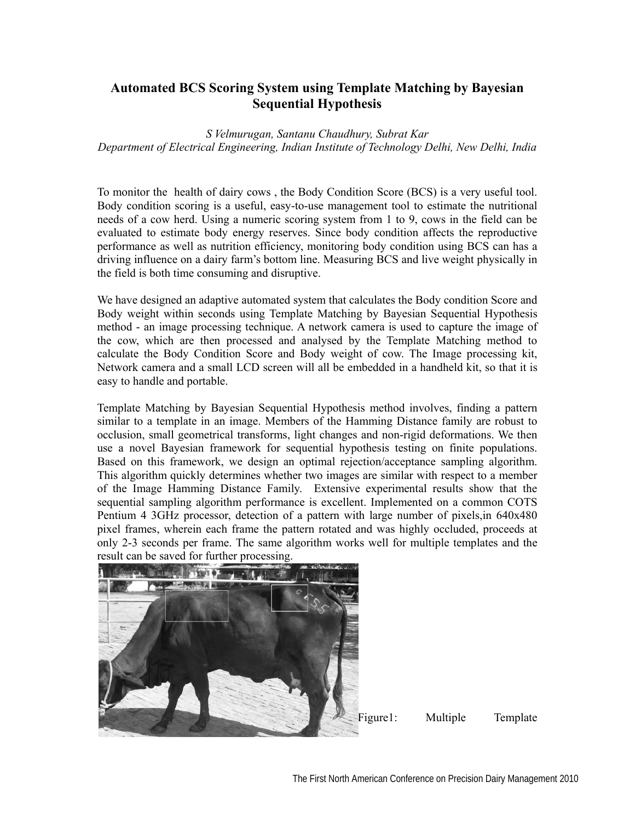## **Automated BCS Scoring System using Template Matching by Bayesian Sequential Hypothesis**

## *S Velmurugan, Santanu Chaudhury, Subrat Kar Department of Electrical Engineering, Indian Institute of Technology Delhi, New Delhi, India*

To monitor the health of dairy cows , the Body Condition Score (BCS) is a very useful tool. Body condition scoring is a useful, easy-to-use management tool to estimate the nutritional needs of a cow herd. Using a numeric scoring system from 1 to 9, cows in the field can be evaluated to estimate body energy reserves. Since body condition affects the reproductive performance as well as nutrition efficiency, monitoring body condition using BCS can has a driving influence on a dairy farm's bottom line. Measuring BCS and live weight physically in the field is both time consuming and disruptive.

We have designed an adaptive automated system that calculates the Body condition Score and Body weight within seconds using Template Matching by Bayesian Sequential Hypothesis method - an image processing technique. A network camera is used to capture the image of the cow, which are then processed and analysed by the Template Matching method to calculate the Body Condition Score and Body weight of cow. The Image processing kit, Network camera and a small LCD screen will all be embedded in a handheld kit, so that it is easy to handle and portable.

Template Matching by Bayesian Sequential Hypothesis method involves, finding a pattern similar to a template in an image. Members of the Hamming Distance family are robust to occlusion, small geometrical transforms, light changes and non-rigid deformations. We then use a novel Bayesian framework for sequential hypothesis testing on finite populations. Based on this framework, we design an optimal rejection/acceptance sampling algorithm. This algorithm quickly determines whether two images are similar with respect to a member of the Image Hamming Distance Family. Extensive experimental results show that the sequential sampling algorithm performance is excellent. Implemented on a common COTS Pentium 4 3GHz processor, detection of a pattern with large number of pixels,in 640x480 pixel frames, wherein each frame the pattern rotated and was highly occluded, proceeds at only 2-3 seconds per frame. The same algorithm works well for multiple templates and the result can be saved for further processing.



Figure1: Multiple Template